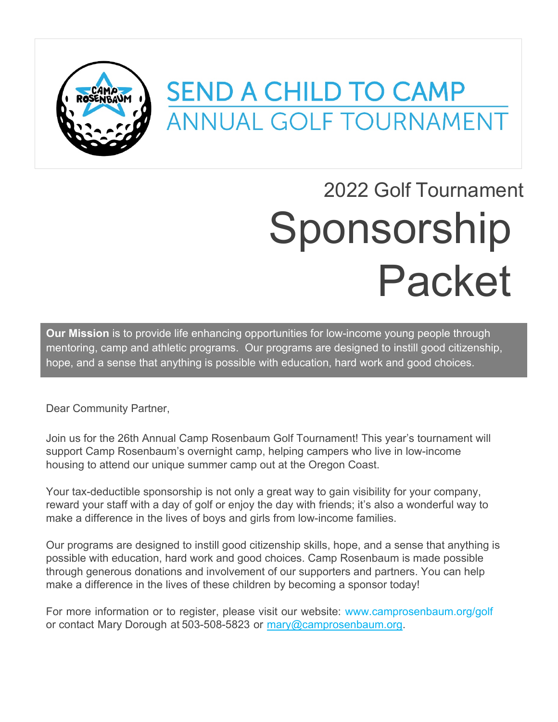

## **SEND A CHILD TO CAMP ANNUAL GOLF TOURNAMENT**

# 2022 Golf Tournament Sponsorship Packet

**Our Mission** is to provide life enhancing opportunities for low-income young people through mentoring, camp and athletic programs. Our programs are designed to instill good citizenship, hope, and a sense that anything is possible with education, hard work and good choices.

Dear Community Partner,

Join us for the 26th Annual Camp Rosenbaum Golf Tournament! This year's tournament will support Camp Rosenbaum's overnight camp, helping campers who live in low-income housing to attend our unique summer camp out at the Oregon Coast.

Your tax-deductible sponsorship is not only a great way to gain visibility for your company, reward your staff with a day of golf or enjoy the day with friends; it's also a wonderful way to make a difference in the lives of boys and girls from low-income families.

Our programs are designed to instill good citizenship skills, hope, and a sense that anything is possible with education, hard work and good choices. Camp Rosenbaum is made possible through generous donations and involvement of our supporters and partners. You can help make a difference in the lives of these children by becoming a sponsor today!

For more information or to register, please visit our website: www.camprosenbaum.org/golf or contact Mary Dorough at 503-508-5823 or mary@camprosenbaum.org.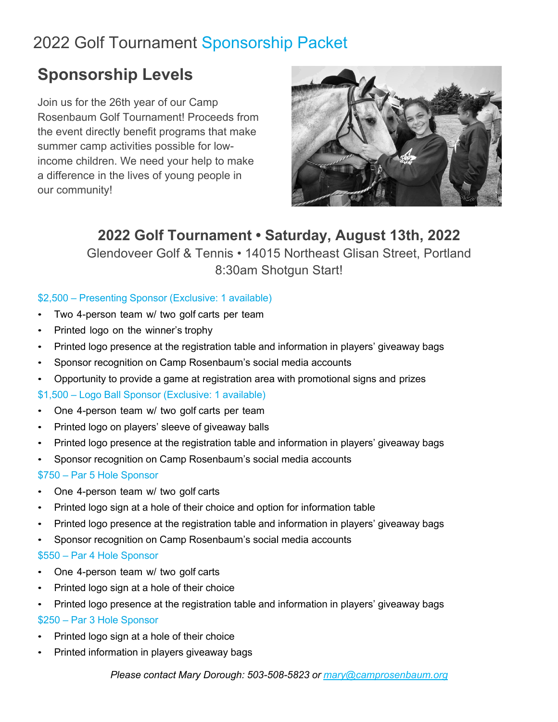## 2022 Golf Tournament Sponsorship Packet

## **Sponsorship Levels**

Join us for the 26th year of our Camp Rosenbaum Golf Tournament! Proceeds from the event directly benefit programs that make summer camp activities possible for lowincome children. We need your help to make a difference in the lives of young people in our community!



### **2022 Golf Tournament • Saturday, August 13th, 2022**

Glendoveer Golf & Tennis • 14015 Northeast Glisan Street, Portland 8:30am Shotgun Start!

#### \$2,500 – Presenting Sponsor (Exclusive: 1 available)

- Two 4-person team w/ two golf carts per team
- Printed logo on the winner's trophy
- Printed logo presence at the registration table and information in players' giveaway bags
- Sponsor recognition on Camp Rosenbaum's social media accounts
- Opportunity to provide a game at registration area with promotional signs and prizes

#### \$1,500 – Logo Ball Sponsor (Exclusive: 1 available)

- One 4-person team w/ two golf carts per team
- Printed logo on players' sleeve of giveaway balls
- Printed logo presence at the registration table and information in players' giveaway bags
- Sponsor recognition on Camp Rosenbaum's social media accounts

#### \$750 – Par 5 Hole Sponsor

- One 4-person team w/ two golf carts
- Printed logo sign at a hole of their choice and option for information table
- Printed logo presence at the registration table and information in players' giveaway bags
- Sponsor recognition on Camp Rosenbaum's social media accounts

#### \$550 – Par 4 Hole Sponsor

- One 4-person team w/ two golf carts
- Printed logo sign at a hole of their choice
- Printed logo presence at the registration table and information in players' giveaway bags \$250 – Par 3 Hole Sponsor
- Printed logo sign at a hole of their choice
- Printed information in players giveaway bags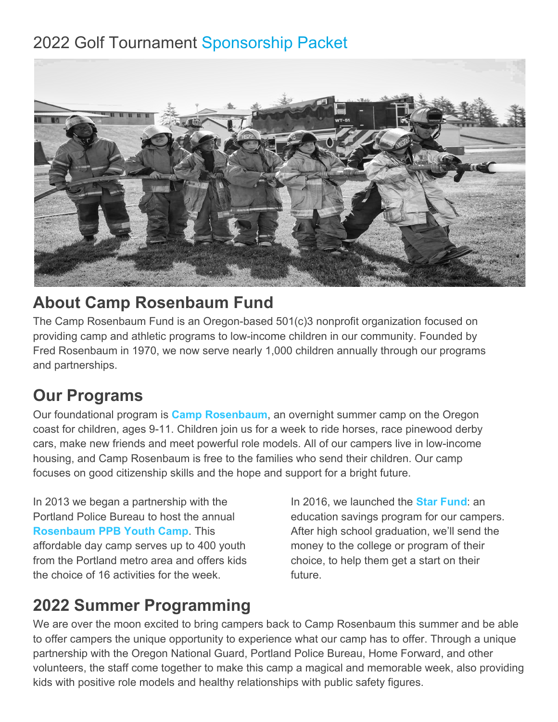## 2022 Golf Tournament Sponsorship Packet



## **About Camp Rosenbaum Fund**

The Camp Rosenbaum Fund is an Oregon-based 501(c)3 nonprofit organization focused on providing camp and athletic programs to low-income children in our community. Founded by Fred Rosenbaum in 1970, we now serve nearly 1,000 children annually through our programs and partnerships.

## **Our Programs**

Our foundational program is **Camp Rosenbaum**, an overnight summer camp on the Oregon coast for children, ages 9-11. Children join us for a week to ride horses, race pinewood derby cars, make new friends and meet powerful role models. All of our campers live in low-income housing, and Camp Rosenbaum is free to the families who send their children. Our camp focuses on good citizenship skills and the hope and support for a bright future.

In 2013 we began a partnership with the Portland Police Bureau to host the annual **Rosenbaum PPB Youth Camp**. This affordable day camp serves up to 400 youth from the Portland metro area and offers kids the choice of 16 activities for the week.

In 2016, we launched the **Star Fund**: an education savings program for our campers. After high school graduation, we'll send the money to the college or program of their choice, to help them get a start on their future.

## **2022 Summer Programming**

We are over the moon excited to bring campers back to Camp Rosenbaum this summer and be able to offer campers the unique opportunity to experience what our camp has to offer. Through a unique partnership with the Oregon National Guard, Portland Police Bureau, Home Forward, and other volunteers, the staff come together to make this camp a magical and memorable week, also providing kids with positive role models and healthy relationships with public safety figures.